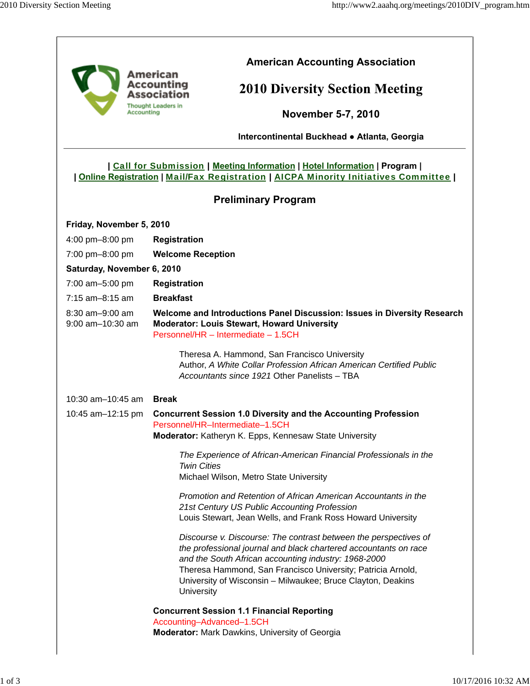| Accountina                          | <b>American Accounting Association</b><br>American<br>Accounting<br><b>2010 Diversity Section Meeting</b><br>Association<br><b>Thought Leaders in</b><br><b>November 5-7, 2010</b><br>Intercontinental Buckhead . Atlanta, Georgia                                                                                                       |
|-------------------------------------|------------------------------------------------------------------------------------------------------------------------------------------------------------------------------------------------------------------------------------------------------------------------------------------------------------------------------------------|
|                                     | Call for Submission   Meeting Information   Hotel Information   Program  <br><u><b>Online Registration   Mail/Fax Registration   AICPA Minority Initiatives Committee  </b></u>                                                                                                                                                          |
|                                     | <b>Preliminary Program</b>                                                                                                                                                                                                                                                                                                               |
| Friday, November 5, 2010            |                                                                                                                                                                                                                                                                                                                                          |
| 4:00 pm-8:00 pm                     | <b>Registration</b>                                                                                                                                                                                                                                                                                                                      |
| 7:00 pm-8:00 pm                     | <b>Welcome Reception</b>                                                                                                                                                                                                                                                                                                                 |
| Saturday, November 6, 2010          |                                                                                                                                                                                                                                                                                                                                          |
| 7:00 am-5:00 pm                     | <b>Registration</b>                                                                                                                                                                                                                                                                                                                      |
| 7:15 am-8:15 am                     | <b>Breakfast</b>                                                                                                                                                                                                                                                                                                                         |
| 8:30 am-9:00 am<br>9:00 am-10:30 am | Welcome and Introductions Panel Discussion: Issues in Diversity Research<br><b>Moderator: Louis Stewart, Howard University</b><br>Personnel/HR - Intermediate - 1.5CH                                                                                                                                                                    |
|                                     | Theresa A. Hammond, San Francisco University<br>Author, A White Collar Profession African American Certified Public<br>Accountants since 1921 Other Panelists - TBA                                                                                                                                                                      |
| 10:30 am-10:45 am                   | <b>Break</b>                                                                                                                                                                                                                                                                                                                             |
| 10:45 am-12:15 pm                   | <b>Concurrent Session 1.0 Diversity and the Accounting Profession</b><br>Personnel/HR-Intermediate-1.5CH<br><b>Moderator:</b> Katheryn K. Epps, Kennesaw State University                                                                                                                                                                |
|                                     | The Experience of African-American Financial Professionals in the<br><b>Twin Cities</b><br>Michael Wilson, Metro State University                                                                                                                                                                                                        |
|                                     | Promotion and Retention of African American Accountants in the<br>21st Century US Public Accounting Profession<br>Louis Stewart, Jean Wells, and Frank Ross Howard University                                                                                                                                                            |
|                                     | Discourse v. Discourse: The contrast between the perspectives of<br>the professional journal and black chartered accountants on race<br>and the South African accounting industry: 1968-2000<br>Theresa Hammond, San Francisco University; Patricia Arnold,<br>University of Wisconsin - Milwaukee; Bruce Clayton, Deakins<br>University |
|                                     | <b>Concurrent Session 1.1 Financial Reporting</b><br>Accounting-Advanced-1.5CH<br><b>Moderator:</b> Mark Dawkins, University of Georgia                                                                                                                                                                                                  |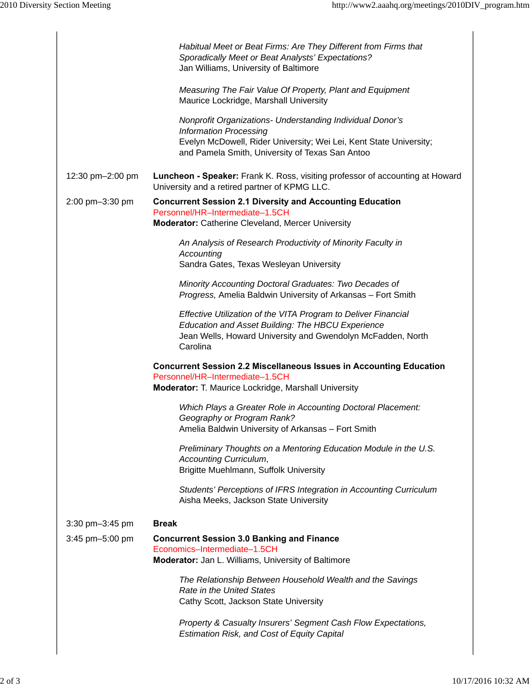|                  | Habitual Meet or Beat Firms: Are They Different from Firms that<br>Sporadically Meet or Beat Analysts' Expectations?<br>Jan Williams, University of Baltimore                                                       |
|------------------|---------------------------------------------------------------------------------------------------------------------------------------------------------------------------------------------------------------------|
|                  | Measuring The Fair Value Of Property, Plant and Equipment<br>Maurice Lockridge, Marshall University                                                                                                                 |
|                  | Nonprofit Organizations- Understanding Individual Donor's<br><b>Information Processing</b><br>Evelyn McDowell, Rider University; Wei Lei, Kent State University;<br>and Pamela Smith, University of Texas San Antoo |
| 12:30 pm-2:00 pm | Luncheon - Speaker: Frank K. Ross, visiting professor of accounting at Howard<br>University and a retired partner of KPMG LLC.                                                                                      |
| 2:00 pm-3:30 pm  | <b>Concurrent Session 2.1 Diversity and Accounting Education</b><br>Personnel/HR-Intermediate-1.5CH                                                                                                                 |
|                  | <b>Moderator:</b> Catherine Cleveland, Mercer University                                                                                                                                                            |
|                  | An Analysis of Research Productivity of Minority Faculty in<br>Accounting<br>Sandra Gates, Texas Wesleyan University                                                                                                |
|                  | Minority Accounting Doctoral Graduates: Two Decades of<br>Progress, Amelia Baldwin University of Arkansas - Fort Smith                                                                                              |
|                  | Effective Utilization of the VITA Program to Deliver Financial<br>Education and Asset Building: The HBCU Experience<br>Jean Wells, Howard University and Gwendolyn McFadden, North<br>Carolina                      |
|                  | <b>Concurrent Session 2.2 Miscellaneous Issues in Accounting Education</b><br>Personnel/HR-Intermediate-1.5CH<br>Moderator: T. Maurice Lockridge, Marshall University                                               |
|                  | Which Plays a Greater Role in Accounting Doctoral Placement:<br>Geography or Program Rank?<br>Amelia Baldwin University of Arkansas - Fort Smith                                                                    |
|                  | Preliminary Thoughts on a Mentoring Education Module in the U.S.<br>Accounting Curriculum,<br>Brigitte Muehlmann, Suffolk University                                                                                |
|                  | Students' Perceptions of IFRS Integration in Accounting Curriculum<br>Aisha Meeks, Jackson State University                                                                                                         |
| 3:30 pm-3:45 pm  | <b>Break</b>                                                                                                                                                                                                        |
| 3:45 pm-5:00 pm  | <b>Concurrent Session 3.0 Banking and Finance</b>                                                                                                                                                                   |
|                  | Economics-Intermediate-1.5CH<br>Moderator: Jan L. Williams, University of Baltimore                                                                                                                                 |
|                  | The Relationship Between Household Wealth and the Savings<br><b>Rate in the United States</b><br>Cathy Scott, Jackson State University                                                                              |
|                  | Property & Casualty Insurers' Segment Cash Flow Expectations,<br><b>Estimation Risk, and Cost of Equity Capital</b>                                                                                                 |